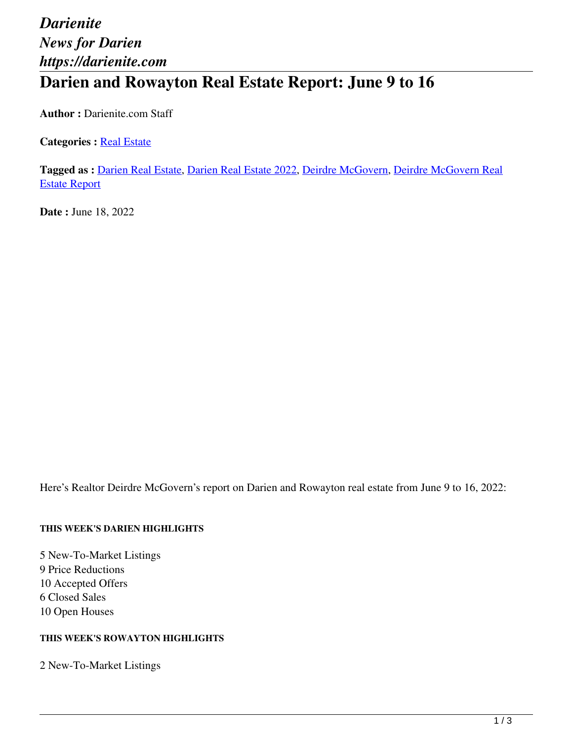# *Darienite News for Darien https://darienite.com* **Darien and Rowayton Real Estate Report: June 9 to 16**

**Author :** Darienite.com Staff

**Categories : [Real Estate](https://darienite.com/category/real-estate)** 

**Tagged as :** Darien Real Estate, Darien Real Estate 2022, Deirdre McGovern, Deirdre McGovern Real Estate Report

**Date :** June 18, 2022

Here's Realtor Deirdre McGovern's report on Darien and Rowayton real estate from June 9 to 16, 2022:

#### **THIS WEEK'S DARIEN HIGHLIGHTS**

5 New-To-Market Listings 9 Price Reductions 10 Accepted Offers 6 Closed Sales 10 Open Houses

### **THIS WEEK'S ROWAYTON HIGHLIGHTS**

2 New-To-Market Listings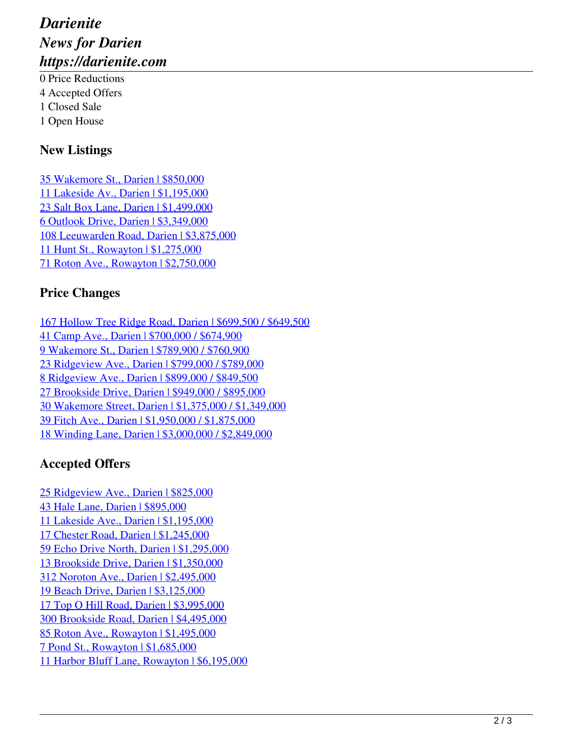# *Darienite News for Darien https://darienite.com*

0 Price Reductions 4 Accepted Offers 1 Closed Sale 1 Open House

## **New Listings**

35 Wakemore St., Darien | \$850,000 11 Lakeside Av., Darien | \$1,195,000 23 Salt Box Lane, Darien | \$1,499,000 6 Outlook Drive, Darien | \$3,349,000 108 Leeuwarden Road, Darien | \$3,875,000 11 Hunt St., Rowayton | \$1,275,000 71 Roton Ave., Rowayton | \$2,750,000

# **Price Changes**

167 Hollow Tree Ridge Road, Darien | \$699,500 / \$649,500 41 Camp Ave., Darien | \$700,000 / \$674,900 9 Wakemore St., Darien | \$789,900 / \$760,900 23 Ridgeview Ave., Darien | \$799,000 / \$789,000 8 Ridgeview Ave., Darien | \$899,000 / \$849,500 27 Brookside Drive, Darien | \$949,000 / \$895,000 30 Wakemore Street, Darien | \$1,375,000 / \$1,349,000 39 Fitch Ave., Darien | \$1,950,000 / \$1,875,000 18 Winding Lane, Darien | \$3,000,000 / \$2,849,000

# **Accepted Offers**

25 Ridgeview Ave., Darien | \$825,000 43 Hale Lane, Darien | \$895,000 11 Lakeside Ave., Darien | \$1,195,000 17 Chester Road, Darien | \$1,245,000 59 Echo Drive North, Darien | \$1,295,000 13 Brookside Drive, Darien | \$1,350,000 312 Noroton Ave., Darien | \$2,495,000 19 Beach Drive, Darien | \$3,125,000 17 Top O Hill Road, Darien | \$3,995,000 300 Brookside Road, Darien | \$4,495,000 85 Roton Ave., Rowayton | \$1,495,000 7 Pond St., Rowayton | \$1,685,000 11 Harbor Bluff Lane, Rowayton | \$6,195,000